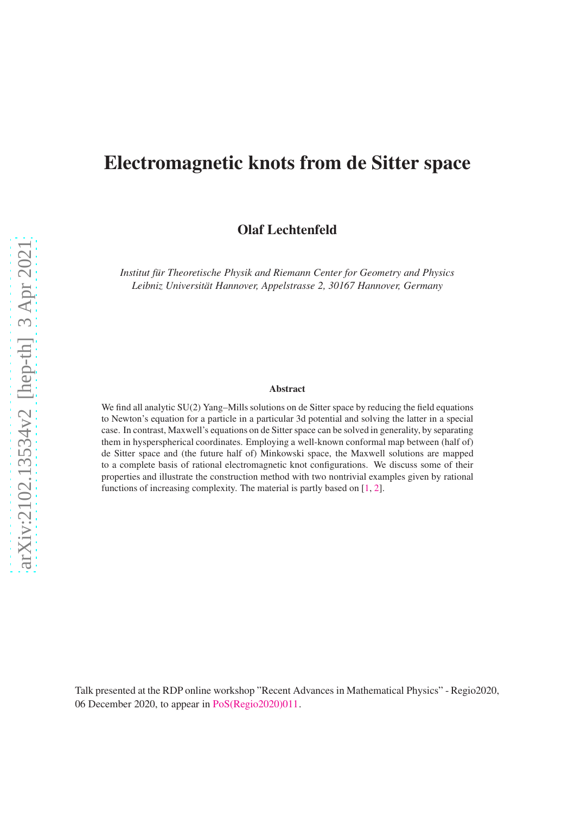# Electromagnetic knots from de Sitter space

Olaf Lechtenfeld

*Institut für Theoretische Physik and Riemann Center for Geometry and Physics Leibniz Universitat Hannover, Appelstrasse 2, 30167 Hannover, Germany ¨*

#### Abstract

We find all analytic SU(2) Yang–Mills solutions on de Sitter space by reducing the field equations to Newton's equation for a particle in a particular 3d potential and solving the latter in a special case. In contrast, Maxwell's equations on de Sitter space can be solved in generality, by separating them in hysperspherical coordinates. Employing a well-known conformal map between (half of) de Sitter space and (the future half of) Minkowski space, the Maxwell solutions are mapped to a complete basis of rational electromagnetic knot configurations. We discuss some of their properties and illustrate the construction method with two nontrivial examples given by rational functions of increasing complexity. The material is partly based on [\[1,](#page-11-0) [2\]](#page-11-1).

Talk presented at the RDP online workshop "Recent Advances in Mathematical Physics" - Regio2020, 06 December 2020, to appear in [PoS\(Regio2020\)011.](https://pos.sissa.it/394/011/pdf)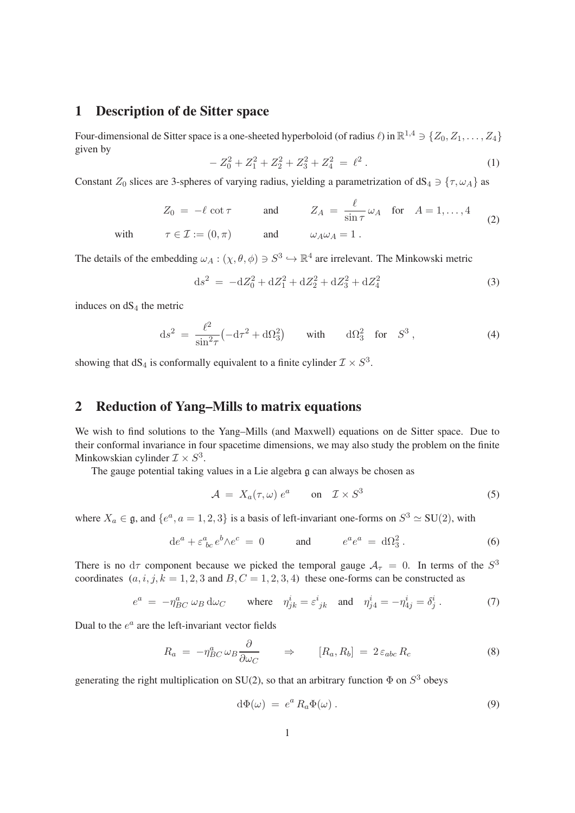#### 1 Description of de Sitter space

Four-dimensional de Sitter space is a one-sheeted hyperboloid (of radius  $\ell$ ) in  $\mathbb{R}^{1,4} \ni \{Z_0, Z_1, \ldots, Z_4\}$ given by

$$
-Z_0^2 + Z_1^2 + Z_2^2 + Z_3^2 + Z_4^2 = \ell^2.
$$
 (1)

Constant  $Z_0$  slices are 3-spheres of varying radius, yielding a parametrization of dS<sub>4</sub>  $\supset$  { $\tau$ ,  $\omega_A$ } as

$$
Z_0 = -\ell \cot \tau \qquad \text{and} \qquad Z_A = \frac{\ell}{\sin \tau} \omega_A \quad \text{for} \quad A = 1, ..., 4
$$
  
with  $\tau \in \mathcal{I} := (0, \pi) \qquad \text{and} \qquad \omega_A \omega_A = 1.$  (2)

The details of the embedding  $\omega_A : (\chi, \theta, \phi) \ni S^3 \hookrightarrow \mathbb{R}^4$  are irrelevant. The Minkowski metric

$$
ds^{2} = -dZ_{0}^{2} + dZ_{1}^{2} + dZ_{2}^{2} + dZ_{3}^{2} + dZ_{4}^{2}
$$
\n(3)

induces on  $dS<sub>4</sub>$  the metric

$$
ds^{2} = \frac{\ell^{2}}{\sin^{2}\tau} \left( -d\tau^{2} + d\Omega_{3}^{2} \right) \quad \text{with} \quad d\Omega_{3}^{2} \quad \text{for} \quad S^{3} \,, \tag{4}
$$

showing that  $dS_4$  is conformally equivalent to a finite cylinder  $\mathcal{I} \times S^3$ .

# 2 Reduction of Yang–Mills to matrix equations

We wish to find solutions to the Yang–Mills (and Maxwell) equations on de Sitter space. Due to their conformal invariance in four spacetime dimensions, we may also study the problem on the finite Minkowskian cylinder  $\mathcal{I} \times S^3$ .

The gauge potential taking values in a Lie algebra g can always be chosen as

$$
\mathcal{A} = X_a(\tau, \omega) e^a \qquad \text{on} \quad \mathcal{I} \times S^3 \tag{5}
$$

where  $X_a \in \mathfrak{g}$ , and  $\{e^a, a = 1, 2, 3\}$  is a basis of left-invariant one-forms on  $S^3 \simeq SU(2)$ , with

$$
de^{a} + \varepsilon^{a}_{\;bc} e^{b} \wedge e^{c} = 0 \qquad \text{and} \qquad e^{a} e^{a} = d\Omega_{3}^{2} \,. \tag{6}
$$

There is no  $d\tau$  component because we picked the temporal gauge  $A_{\tau} = 0$ . In terms of the  $S^3$ coordinates  $(a, i, j, k = 1, 2, 3$  and  $B, C = 1, 2, 3, 4$ ) these one-forms can be constructed as

$$
e^{a} = -\eta_{BC}^{a} \omega_{B} d\omega_{C} \quad \text{where} \quad \eta_{jk}^{i} = \varepsilon_{jk}^{i} \quad \text{and} \quad \eta_{j4}^{i} = -\eta_{4j}^{i} = \delta_{j}^{i} \,. \tag{7}
$$

Dual to the  $e^a$  are the left-invariant vector fields

<span id="page-1-0"></span>
$$
R_a = -\eta_{BC}^a \omega_B \frac{\partial}{\partial \omega_C} \qquad \Rightarrow \qquad [R_a, R_b] = 2 \varepsilon_{abc} R_c \tag{8}
$$

generating the right multiplication on SU(2), so that an arbitrary function  $\Phi$  on  $S^3$  obeys

$$
d\Phi(\omega) = e^a R_a \Phi(\omega). \tag{9}
$$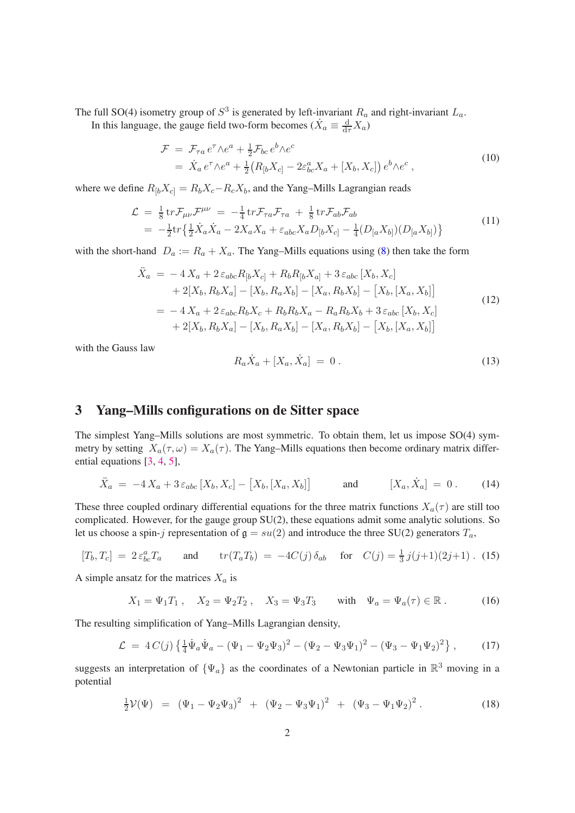The full SO(4) isometry group of  $S^3$  is generated by left-invariant  $R_a$  and right-invariant  $L_a$ . In this language, the gauge field two-form becomes  $(\dot{X}_a \equiv \frac{d}{d\tau} X_a)$ 

$$
\mathcal{F} = \mathcal{F}_{\tau a} e^{\tau} \wedge e^{a} + \frac{1}{2} \mathcal{F}_{bc} e^{b} \wedge e^{c}
$$
  
= 
$$
\dot{X}_{a} e^{\tau} \wedge e^{a} + \frac{1}{2} (R_{[b} X_{c]} - 2\varepsilon_{bc}^{a} X_{a} + [X_{b}, X_{c}]) e^{b} \wedge e^{c},
$$
 (10)

where we define  $R_{[b}X_{c]} = R_bX_c - R_cX_b$ , and the Yang–Mills Lagrangian reads

$$
\mathcal{L} = \frac{1}{8} \text{tr} \mathcal{F}_{\mu\nu} \mathcal{F}^{\mu\nu} = -\frac{1}{4} \text{tr} \mathcal{F}_{\tau a} \mathcal{F}_{\tau a} + \frac{1}{8} \text{tr} \mathcal{F}_{ab} \mathcal{F}_{ab}
$$
  
= 
$$
-\frac{1}{2} \text{tr} \left\{ \frac{1}{2} \dot{X}_a \dot{X}_a - 2X_a X_a + \varepsilon_{abc} X_a D_{[b} X_{c]} - \frac{1}{4} (D_{[a} X_{b]}) (D_{[a} X_{b]}) \right\}
$$
(11)

with the short-hand  $D_a := R_a + X_a$ . The Yang–Mills equations using [\(8\)](#page-1-0) then take the form

<span id="page-2-1"></span>
$$
\ddot{X}_a = -4 X_a + 2 \epsilon_{abc} R_{[b} X_{c]} + R_b R_{[b} X_{a]} + 3 \epsilon_{abc} [X_b, X_c] \n+ 2[X_b, R_b X_a] - [X_b, R_a X_b] - [X_a, R_b X_b] - [X_b, [X_a, X_b]] \n= -4 X_a + 2 \epsilon_{abc} R_b X_c + R_b R_b X_a - R_a R_b X_b + 3 \epsilon_{abc} [X_b, X_c] \n+ 2[X_b, R_b X_a] - [X_b, R_a X_b] - [X_a, R_b X_b] - [X_b, [X_a, X_b]]
$$
\n(12)

with the Gauss law

<span id="page-2-2"></span>
$$
R_a \dot{X}_a + [X_a, \dot{X}_a] = 0.
$$
 (13)

#### 3 Yang–Mills configurations on de Sitter space

The simplest Yang–Mills solutions are most symmetric. To obtain them, let us impose SO(4) symmetry by setting  $X_a(\tau, \omega) = X_a(\tau)$ . The Yang–Mills equations then become ordinary matrix differential equations [\[3,](#page-11-2) [4,](#page-11-3) [5\]](#page-11-4),

$$
\ddot{X}_a = -4 X_a + 3 \varepsilon_{abc} [X_b, X_c] - [X_b, [X_a, X_b]] \quad \text{and} \quad [X_a, \dot{X}_a] = 0. \quad (14)
$$

These three coupled ordinary differential equations for the three matrix functions  $X_a(\tau)$  are still too complicated. However, for the gauge group SU(2), these equations admit some analytic solutions. So let us choose a spin-j representation of  $g = su(2)$  and introduce the three SU(2) generators  $T_a$ ,

$$
[T_b, T_c] = 2 \varepsilon_{bc}^a T_a
$$
 and  $tr(T_a T_b) = -4C(j) \delta_{ab}$  for  $C(j) = \frac{1}{3} j(j+1)(2j+1)$ . (15)

A simple ansatz for the matrices  $X_a$  is

$$
X_1 = \Psi_1 T_1
$$
,  $X_2 = \Psi_2 T_2$ ,  $X_3 = \Psi_3 T_3$  with  $\Psi_a = \Psi_a(\tau) \in \mathbb{R}$ . (16)

The resulting simplification of Yang–Mills Lagrangian density,

$$
\mathcal{L} = 4C(j)\left\{\frac{1}{4}\dot{\Psi}_a\dot{\Psi}_a - (\Psi_1 - \Psi_2\Psi_3)^2 - (\Psi_2 - \Psi_3\Psi_1)^2 - (\Psi_3 - \Psi_1\Psi_2)^2\right\},\tag{17}
$$

suggests an interpretation of  $\{\Psi_a\}$  as the coordinates of a Newtonian particle in  $\mathbb{R}^3$  moving in a potential

<span id="page-2-0"></span>
$$
\frac{1}{2}\mathcal{V}(\Psi) = (\Psi_1 - \Psi_2\Psi_3)^2 + (\Psi_2 - \Psi_3\Psi_1)^2 + (\Psi_3 - \Psi_1\Psi_2)^2.
$$
 (18)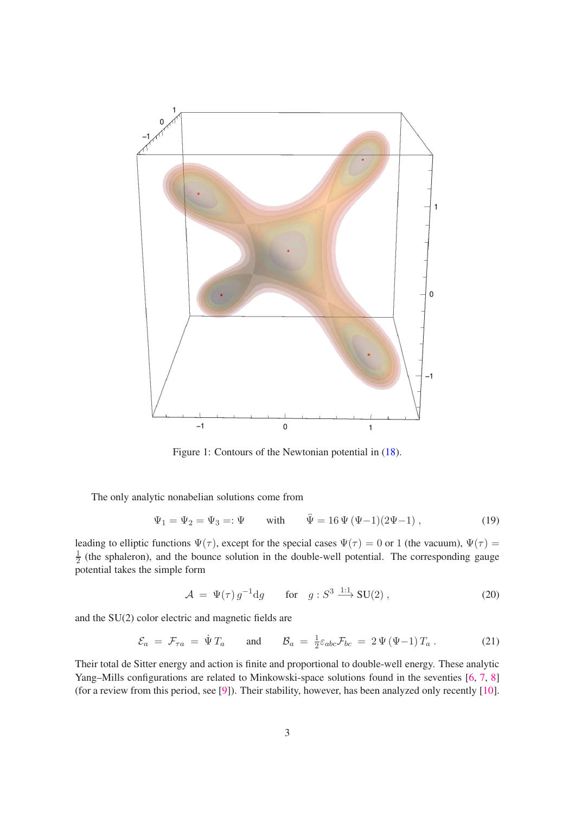

Figure 1: Contours of the Newtonian potential in [\(18\)](#page-2-0).

The only analytic nonabelian solutions come from

$$
\Psi_1 = \Psi_2 = \Psi_3 =: \Psi
$$
 with  $\ddot{\Psi} = 16 \Psi (\Psi - 1)(2\Psi - 1)$ , (19)

leading to elliptic functions  $\Psi(\tau)$ , except for the special cases  $\Psi(\tau) = 0$  or 1 (the vacuum),  $\Psi(\tau) =$ 1  $\frac{1}{2}$  (the sphaleron), and the bounce solution in the double-well potential. The corresponding gauge potential takes the simple form

$$
\mathcal{A} = \Psi(\tau) g^{-1} \mathrm{d}g \qquad \text{for} \quad g: S^3 \xrightarrow{1:1} \mathrm{SU}(2) \,, \tag{20}
$$

and the SU(2) color electric and magnetic fields are

$$
\mathcal{E}_a = \mathcal{F}_{\tau a} = \dot{\Psi} T_a \quad \text{and} \quad \mathcal{B}_a = \frac{1}{2} \varepsilon_{abc} \mathcal{F}_{bc} = 2 \Psi (\Psi - 1) T_a \,. \tag{21}
$$

Their total de Sitter energy and action is finite and proportional to double-well energy. These analytic Yang–Mills configurations are related to Minkowski-space solutions found in the seventies [\[6,](#page-11-5) [7,](#page-11-6) [8\]](#page-11-7) (for a review from this period, see [\[9\]](#page-11-8)). Their stability, however, has been analyzed only recently [\[10\]](#page-11-9).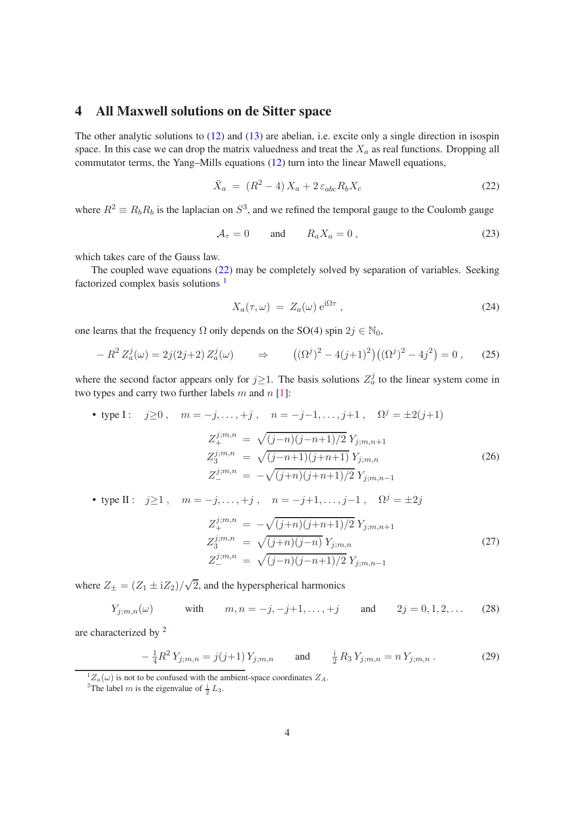# 4 All Maxwell solutions on de Sitter space

The other analytic solutions to  $(12)$  and  $(13)$  are abelian, i.e. excite only a single direction in isospin space. In this case we can drop the matrix valuedness and treat the  $X_a$  as real functions. Dropping all commutator terms, the Yang–Mills equations [\(12\)](#page-2-1) turn into the linear Mawell equations,

<span id="page-4-0"></span>
$$
\ddot{X}_a = (R^2 - 4)X_a + 2\varepsilon_{abc}R_bX_c \tag{22}
$$

where  $R^2 \equiv R_b R_b$  is the laplacian on  $S^3$ , and we refined the temporal gauge to the Coulomb gauge

$$
\mathcal{A}_{\tau} = 0 \qquad \text{and} \qquad R_a X_a = 0 \,, \tag{23}
$$

which takes care of the Gauss law.

The coupled wave equations [\(22\)](#page-4-0) may be completely solved by separation of variables. Seeking factorized complex basis solutions [1](#page-4-1)

$$
X_a(\tau,\omega) = Z_a(\omega) e^{i\Omega \tau}, \qquad (24)
$$

one learns that the frequency  $\Omega$  only depends on the SO(4) spin  $2j \in \mathbb{N}_0$ ,

$$
- R^2 Z_a^j(\omega) = 2j(2j+2) Z_a^j(\omega) \qquad \Rightarrow \qquad ((\Omega^j)^2 - 4(j+1)^2) ((\Omega^j)^2 - 4j^2) = 0 , \qquad (25)
$$

where the second factor appears only for  $j \ge 1$ . The basis solutions  $Z_a^j$  to the linear system come in two types and carry two further labels  $m$  and  $n$  [\[1\]](#page-11-0):

• type I: 
$$
j \ge 0
$$
,  $m = -j, ..., +j$ ,  $n = -j-1, ..., j+1$ ,  $\Omega^{j} = \pm 2(j+1)$   
\n
$$
Z_{+}^{j;m,n} = \sqrt{(j-n)(j-n+1)/2} Y_{j;m,n+1}
$$
\n
$$
Z_{3}^{j;m,n} = \sqrt{(j-n+1)(j+n+1)} Y_{j;m,n}
$$
\n
$$
Z_{-}^{j;m,n} = -\sqrt{(j+n)(j+n+1)/2} Y_{j;m,n-1}
$$
\n(26)

• type II :  $j \ge 1$ ,  $m = -j, ..., +j$ ,  $n = -j+1, ..., j-1$ ,  $\Omega^{j} = \pm 2j$ 

<span id="page-4-3"></span>
$$
Z_{+}^{j;m,n} = -\sqrt{(j+n)(j+n+1)/2} Y_{j;m,n+1}
$$
  
\n
$$
Z_{3}^{j;m,n} = \sqrt{(j+n)(j-n)} Y_{j;m,n}
$$
  
\n
$$
Z_{-}^{j;m,n} = \sqrt{(j-n)(j-n+1)/2} Y_{j;m,n-1}
$$
\n(27)

where  $Z_{\pm} = (Z_1 \pm iZ_2)/\sqrt{2}$ , and the hyperspherical harmonics

$$
Y_{j;m,n}(\omega)
$$
 with  $m, n = -j, -j+1, ..., +j$  and  $2j = 0, 1, 2, ...$  (28)

are characterized by [2](#page-4-2)

$$
-\frac{1}{4}R^2Y_{j;m,n} = j(j+1)Y_{j;m,n} \quad \text{and} \quad \frac{1}{2}R_3Y_{j;m,n} = nY_{j;m,n}. \tag{29}
$$

 ${}^{1}Z_{a}(\omega)$  is not to be confused with the ambient-space coordinates  $Z_{A}$ .

<span id="page-4-2"></span><span id="page-4-1"></span><sup>&</sup>lt;sup>2</sup>The label *m* is the eigenvalue of  $\frac{1}{2}L_3$ .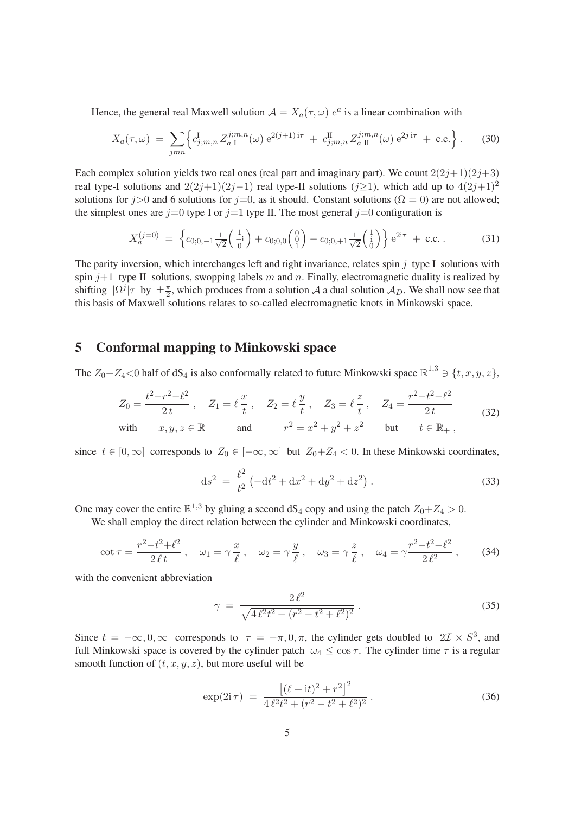Hence, the general real Maxwell solution  $A = X_a(\tau, \omega) e^a$  is a linear combination with

$$
X_a(\tau,\omega) = \sum_{jmn} \left\{ c_{j;m,n}^{\mathbf{I}} Z_{a\,\mathbf{I}}^{j;m,n}(\omega) e^{2(j+1)\,\mathbf{i}\tau} + c_{j;m,n}^{\mathbf{II}} Z_{a\,\mathbf{II}}^{j;m,n}(\omega) e^{2j\,\mathbf{i}\tau} + \text{c.c.} \right\}.
$$
 (30)

Each complex solution yields two real ones (real part and imaginary part). We count  $2(2j+1)(2j+3)$ real type-I solutions and  $2(2j+1)(2j-1)$  real type-II solutions (j>1), which add up to  $4(2j+1)^2$ solutions for  $j>0$  and 6 solutions for  $j=0$ , as it should. Constant solutions ( $\Omega = 0$ ) are not allowed; the simplest ones are  $j=0$  type I or  $j=1$  type II. The most general  $j=0$  configuration is

$$
X_a^{(j=0)} = \left\{c_{0,0,-1} \frac{1}{\sqrt{2}} \begin{pmatrix} 1\\-i\\0 \end{pmatrix} + c_{0,0,0} \begin{pmatrix} 0\\0\\1 \end{pmatrix} - c_{0,0,+1} \frac{1}{\sqrt{2}} \begin{pmatrix} 1\\i\\0 \end{pmatrix} \right\} e^{2i\tau} + \text{c.c.} \tag{31}
$$

The parity inversion, which interchanges left and right invariance, relates spin  $j$  type I solutions with spin  $j+1$  type II solutions, swopping labels m and n. Finally, electromagnetic duality is realized by shifting  $|\Omega^j|\tau$  by  $\pm \frac{\pi}{2}$ , which produces from a solution A a dual solution  $\mathcal{A}_D$ . We shall now see that this basis of Maxwell solutions relates to so-called electromagnetic knots in Minkowski space.

## 5 Conformal mapping to Minkowski space

The  $Z_0+Z_4<0$  half of dS<sub>4</sub> is also conformally related to future Minkowski space  $\mathbb{R}^{1,3}_+\ni \{t, x, y, z\}$ ,

$$
Z_0 = \frac{t^2 - r^2 - \ell^2}{2t}, \quad Z_1 = \ell \frac{x}{t}, \quad Z_2 = \ell \frac{y}{t}, \quad Z_3 = \ell \frac{z}{t}, \quad Z_4 = \frac{r^2 - t^2 - \ell^2}{2t}
$$
  
with  $x, y, z \in \mathbb{R}$  and  $r^2 = x^2 + y^2 + z^2$  but  $t \in \mathbb{R}_+$ , (32)

since  $t \in [0,\infty]$  corresponds to  $Z_0 \in [-\infty,\infty]$  but  $Z_0 + Z_4 < 0$ . In these Minkowski coordinates,

$$
ds^{2} = \frac{\ell^{2}}{t^{2}} \left( -dt^{2} + dx^{2} + dy^{2} + dz^{2} \right).
$$
 (33)

One may cover the entire  $\mathbb{R}^{1,3}$  by gluing a second  $dS_4$  copy and using the patch  $Z_0+Z_4 > 0$ .

We shall employ the direct relation between the cylinder and Minkowski coordinates,

$$
\cot \tau = \frac{r^2 - t^2 + \ell^2}{2\,\ell\,t} \,, \quad \omega_1 = \gamma \, \frac{x}{\ell} \,, \quad \omega_2 = \gamma \, \frac{y}{\ell} \,, \quad \omega_3 = \gamma \, \frac{z}{\ell} \,, \quad \omega_4 = \gamma \frac{r^2 - t^2 - \ell^2}{2\,\ell^2} \,, \tag{34}
$$

with the convenient abbreviation

$$
\gamma = \frac{2\ell^2}{\sqrt{4\ell^2 t^2 + (r^2 - t^2 + \ell^2)^2}}.
$$
\n(35)

Since  $t = -\infty, 0, \infty$  corresponds to  $\tau = -\pi, 0, \pi$ , the cylinder gets doubled to  $2\mathcal{I} \times S^3$ , and full Minkowski space is covered by the cylinder patch  $\omega_4 \leq \cos \tau$ . The cylinder time  $\tau$  is a regular smooth function of  $(t, x, y, z)$ , but more useful will be

$$
\exp(2\mathrm{i}\,\tau) \; = \; \frac{\left[ (\ell + \mathrm{i}t)^2 + r^2 \right]^2}{4\,\ell^2 t^2 + (r^2 - t^2 + \ell^2)^2} \,. \tag{36}
$$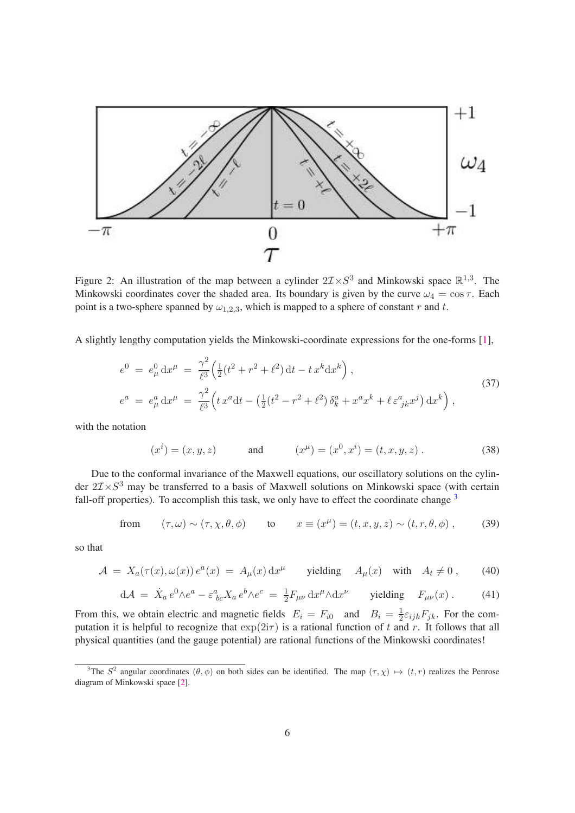

Figure 2: An illustration of the map between a cylinder  $2\mathcal{I} \times S^3$  and Minkowski space  $\mathbb{R}^{1,3}$ . The Minkowski coordinates cover the shaded area. Its boundary is given by the curve  $\omega_4 = \cos \tau$ . Each point is a two-sphere spanned by  $\omega_{1,2,3}$ , which is mapped to a sphere of constant r and t.

A slightly lengthy computation yields the Minkowski-coordinate expressions for the one-forms [\[1\]](#page-11-0),

$$
e^{0} = e_{\mu}^{0} dx^{\mu} = \frac{\gamma^{2}}{\ell^{3}} \Big( \frac{1}{2} (t^{2} + r^{2} + \ell^{2}) dt - tx^{k} dx^{k} \Big),
$$
  
\n
$$
e^{a} = e_{\mu}^{a} dx^{\mu} = \frac{\gamma^{2}}{\ell^{3}} \Big( tx^{a} dt - \left( \frac{1}{2} (t^{2} - r^{2} + \ell^{2}) \delta_{k}^{a} + x^{a} x^{k} + \ell \epsilon_{jk}^{a} x^{j} \right) dx^{k} \Big),
$$
\n(37)

with the notation

$$
(x^{i}) = (x, y, z)
$$
 and  $(x^{\mu}) = (x^{0}, x^{i}) = (t, x, y, z)$ . (38)

Due to the conformal invariance of the Maxwell equations, our oscillatory solutions on the cylinder  $2\mathcal{I} \times S^3$  may be transferred to a basis of Maxwell solutions on Minkowski space (with certain fall-off properties). To accomplish this task, we only have to effect the coordinate change  $3$ 

from 
$$
(\tau, \omega) \sim (\tau, \chi, \theta, \phi)
$$
 to  $x \equiv (x^{\mu}) = (t, x, y, z) \sim (t, r, \theta, \phi)$ , (39)

so that

$$
\mathcal{A} = X_a(\tau(x), \omega(x)) e^a(x) = A_\mu(x) dx^\mu \quad \text{yielding} \quad A_\mu(x) \quad \text{with} \quad A_t \neq 0 \,, \tag{40}
$$

$$
d\mathcal{A} = \dot{X}_a e^0 \wedge e^a - \varepsilon^a_{bc} X_a e^b \wedge e^c = \frac{1}{2} F_{\mu\nu} dx^{\mu} \wedge dx^{\nu} \quad \text{yielding} \quad F_{\mu\nu}(x) \,. \tag{41}
$$

From this, we obtain electric and magnetic fields  $E_i = F_{i0}$  and  $B_i = \frac{1}{2}$  $\frac{1}{2}\varepsilon_{ijk}F_{jk}$ . For the computation it is helpful to recognize that  $\exp(2i\tau)$  is a rational function of t and r. It follows that all physical quantities (and the gauge potential) are rational functions of the Minkowski coordinates!

<span id="page-6-0"></span><sup>&</sup>lt;sup>3</sup>The  $S^2$  angular coordinates  $(\theta, \phi)$  on both sides can be identified. The map  $(\tau, \chi) \mapsto (t, r)$  realizes the Penrose diagram of Minkowski space [\[2\]](#page-11-1).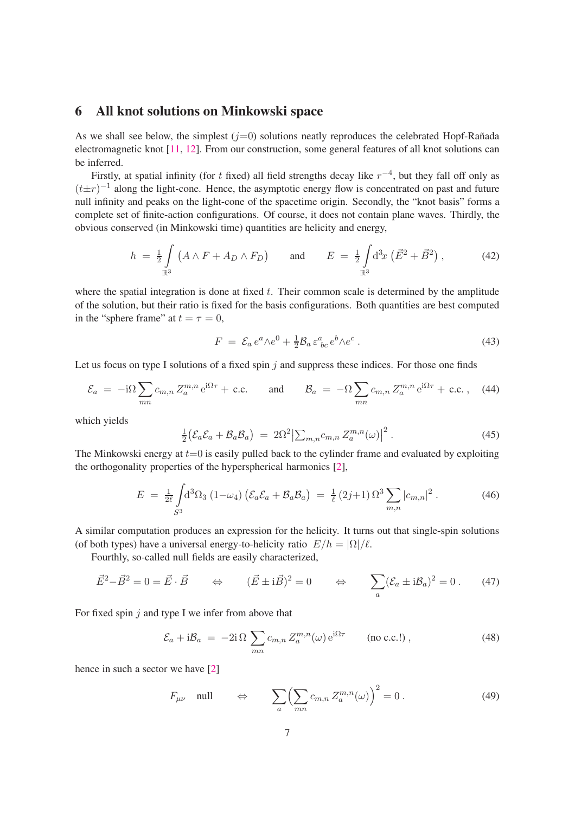#### 6 All knot solutions on Minkowski space

As we shall see below, the simplest  $(j=0)$  solutions neatly reproduces the celebrated Hopf-Rañada electromagnetic knot [\[11,](#page-11-10) [12\]](#page-11-11). From our construction, some general features of all knot solutions can be inferred.

Firstly, at spatial infinity (for t fixed) all field strengths decay like  $r^{-4}$ , but they fall off only as  $(t \pm r)^{-1}$  along the light-cone. Hence, the asymptotic energy flow is concentrated on past and future null infinity and peaks on the light-cone of the spacetime origin. Secondly, the "knot basis" forms a complete set of finite-action configurations. Of course, it does not contain plane waves. Thirdly, the obvious conserved (in Minkowski time) quantities are helicity and energy,

$$
h = \frac{1}{2} \int_{\mathbb{R}^3} (A \wedge F + A_D \wedge F_D) \quad \text{and} \quad E = \frac{1}{2} \int_{\mathbb{R}^3} d^3 x \left( \vec{E}^2 + \vec{B}^2 \right), \tag{42}
$$

where the spatial integration is done at fixed  $t$ . Their common scale is determined by the amplitude of the solution, but their ratio is fixed for the basis configurations. Both quantities are best computed in the "sphere frame" at  $t = \tau = 0$ ,

$$
F = \mathcal{E}_a e^a \wedge e^0 + \frac{1}{2} \mathcal{B}_a \varepsilon^a_{bc} e^b \wedge e^c \,. \tag{43}
$$

Let us focus on type I solutions of a fixed spin  $j$  and suppress these indices. For those one finds

$$
\mathcal{E}_a = -i\Omega \sum_{mn} c_{m,n} Z_a^{m,n} e^{i\Omega \tau} + \text{c.c.} \quad \text{and} \quad \mathcal{B}_a = -\Omega \sum_{mn} c_{m,n} Z_a^{m,n} e^{i\Omega \tau} + \text{c.c.} \,, \quad (44)
$$

which yields

$$
\frac{1}{2} \big( \mathcal{E}_a \mathcal{E}_a + \mathcal{B}_a \mathcal{B}_a \big) = 2\Omega^2 \big| \sum_{m,n} c_{m,n} Z_a^{m,n}(\omega) \big|^2. \tag{45}
$$

The Minkowski energy at  $t=0$  is easily pulled back to the cylinder frame and evaluated by exploiting the orthogonality properties of the hyperspherical harmonics [\[2\]](#page-11-1),

$$
E = \frac{1}{2\ell} \int d^3 \Omega_3 (1 - \omega_4) \left( \mathcal{E}_a \mathcal{E}_a + \mathcal{B}_a \mathcal{B}_a \right) = \frac{1}{\ell} (2j + 1) \Omega^3 \sum_{m,n} |c_{m,n}|^2.
$$
 (46)

A similar computation produces an expression for the helicity. It turns out that single-spin solutions (of both types) have a universal energy-to-helicity ratio  $E/h = |\Omega|/\ell$ .

Fourthly, so-called null fields are easily characterized,

$$
\vec{E}^2 - \vec{B}^2 = 0 = \vec{E} \cdot \vec{B} \qquad \Leftrightarrow \qquad (\vec{E} \pm i\vec{B})^2 = 0 \qquad \Leftrightarrow \qquad \sum_a (\mathcal{E}_a \pm i\mathcal{B}_a)^2 = 0 \,. \tag{47}
$$

For fixed spin  $j$  and type I we infer from above that

$$
\mathcal{E}_a + i\mathcal{B}_a = -2i\,\Omega \sum_{mn} c_{m,n} Z_a^{m,n}(\omega) e^{i\Omega \tau} \qquad \text{(no c.c.!)},
$$
\n(48)

hence in such a sector we have [\[2\]](#page-11-1)

$$
F_{\mu\nu} \quad \text{null} \quad \Leftrightarrow \quad \sum_{a} \left( \sum_{mn} c_{m,n} Z_a^{m,n}(\omega) \right)^2 = 0 \,. \tag{49}
$$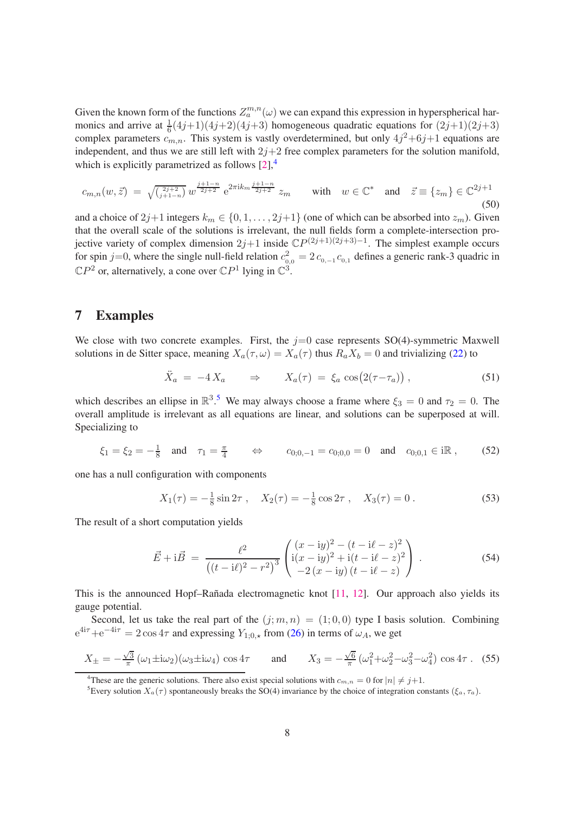Given the known form of the functions  $Z_a^{m,n}(\omega)$  we can expand this expression in hyperspherical harmonics and arrive at  $\frac{1}{6}(4j+1)(4j+2)(4j+3)$  homogeneous quadratic equations for  $(2j+1)(2j+3)$ complex parameters  $c_{m,n}$ . This system is vastly overdetermined, but only  $4j^2+6j+1$  equations are independent, and thus we are still left with  $2j+2$  free complex parameters for the solution manifold, which is explicitly parametrized as follows  $[2]$ ,<sup>[4](#page-8-0)</sup>

$$
c_{m,n}(w,\vec{z}) = \sqrt{\frac{2j+2}{j+1-n}} w^{\frac{j+1-n}{2j+2}} e^{2\pi i k_m \frac{j+1-n}{2j+2}} z_m \quad \text{with} \quad w \in \mathbb{C}^* \quad \text{and} \quad \vec{z} \equiv \{z_m\} \in \mathbb{C}^{2j+1}
$$
\n(50)

and a choice of  $2j+1$  integers  $k_m \in \{0, 1, \ldots, 2j+1\}$  (one of which can be absorbed into  $z_m$ ). Given that the overall scale of the solutions is irrelevant, the null fields form a complete-intersection projective variety of complex dimension  $2j+1$  inside  $\mathbb{C}P^{(2j+1)(2j+3)-1}$ . The simplest example occurs for spin j=0, where the single null-field relation  $c_{0,0}^2 = 2 c_{0,-1} c_{0,1}$  defines a generic rank-3 quadric in  $\mathbb{C}P^2$  or, alternatively, a cone over  $\mathbb{C}P^1$  lying in  $\mathbb{C}^3$ .

#### 7 Examples

We close with two concrete examples. First, the  $j=0$  case represents  $SO(4)$ -symmetric Maxwell solutions in de Sitter space, meaning  $X_a(\tau, \omega) = X_a(\tau)$  thus  $R_a X_b = 0$  and trivializing [\(22\)](#page-4-0) to

$$
\ddot{X}_a = -4 X_a \qquad \Rightarrow \qquad X_a(\tau) = \xi_a \cos(2(\tau - \tau_a)), \qquad (51)
$$

which describes an ellipse in  $\mathbb{R}^3$ .<sup>[5](#page-8-1)</sup> We may always choose a frame where  $\xi_3 = 0$  and  $\tau_2 = 0$ . The overall amplitude is irrelevant as all equations are linear, and solutions can be superposed at will. Specializing to

$$
\xi_1 = \xi_2 = -\frac{1}{8}
$$
 and  $\tau_1 = \frac{\pi}{4}$   $\Leftrightarrow$   $c_{0;0,-1} = c_{0;0,0} = 0$  and  $c_{0;0,1} \in i\mathbb{R}$ , (52)

one has a null configuration with components

$$
X_1(\tau) = -\frac{1}{8}\sin 2\tau \;, \quad X_2(\tau) = -\frac{1}{8}\cos 2\tau \;, \quad X_3(\tau) = 0 \;.
$$
 (53)

The result of a short computation yields

$$
\vec{E} + i\vec{B} = \frac{\ell^2}{\left((t - i\ell)^2 - r^2\right)^3} \begin{pmatrix} (x - iy)^2 - (t - i\ell - z)^2 \\ i(x - iy)^2 + i(t - i\ell - z)^2 \\ -2(x - iy)(t - i\ell - z) \end{pmatrix} . \tag{54}
$$

This is the announced Hopf–Rañada electromagnetic knot  $[11, 12]$  $[11, 12]$ . Our approach also yields its gauge potential.

Second, let us take the real part of the  $(j; m, n) = (1; 0, 0)$  type I basis solution. Combining  $e^{4i\tau}+e^{-4i\tau} = 2\cos 4\tau$  and expressing  $Y_{1;0,\star}$  from [\(26\)](#page-4-3) in terms of  $\omega_A$ , we get

$$
X_{\pm} = -\frac{\sqrt{3}}{\pi} \left( \omega_1 \pm i \omega_2 \right) \left( \omega_3 \pm i \omega_4 \right) \cos 4\tau \quad \text{and} \quad X_3 = -\frac{\sqrt{6}}{\pi} \left( \omega_1^2 + \omega_2^2 - \omega_3^2 - \omega_4^2 \right) \cos 4\tau \,. \tag{55}
$$

<sup>4</sup>These are the generic solutions. There also exist special solutions with  $c_{m,n} = 0$  for  $|n| \neq j+1$ .

<span id="page-8-1"></span><span id="page-8-0"></span><sup>&</sup>lt;sup>5</sup>Every solution  $X_a(\tau)$  spontaneously breaks the SO(4) invariance by the choice of integration constants ( $\xi_a, \tau_a$ ).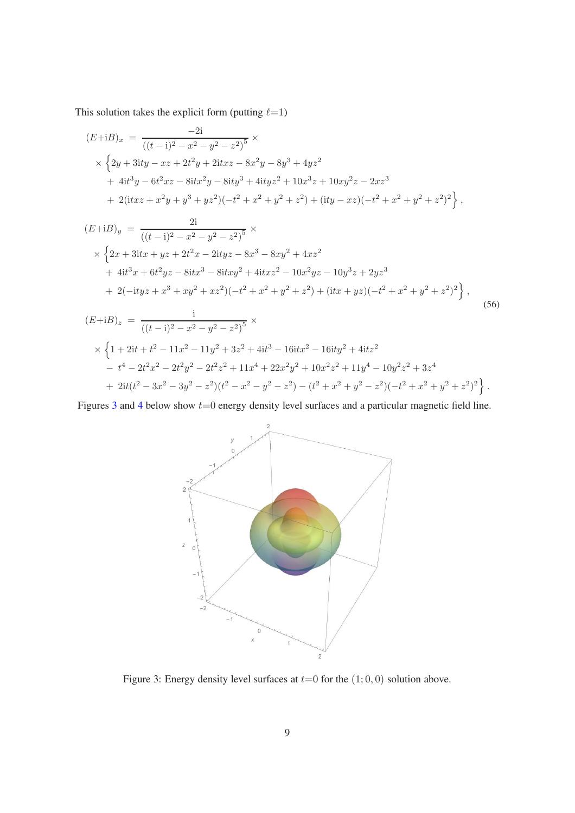This solution takes the explicit form (putting  $\ell=1$ )

$$
(E+iB)_x = \frac{-2i}{((t-i)^2 - x^2 - y^2 - z^2)^5} \times
$$
  
 
$$
\times \left\{ 2y + 3ity - xz + 2t^2y + 2itxz - 8x^2y - 8y^3 + 4yz^2
$$
  
 
$$
+ 4it^3y - 6t^2xz - 8itx^2y - 8ity^3 + 4ityz^2 + 10x^3z + 10xy^2z - 2xz^3
$$
  
 
$$
+ 2(itxz + x^2y + y^3 + yz^2)(-t^2 + x^2 + y^2 + z^2) + (ity - xz)(-t^2 + x^2 + y^2 + z^2)^2 \right\},
$$

$$
(E+iB)_y = \frac{2i}{((t-i)^2 - x^2 - y^2 - z^2)^5} \times
$$
  
 
$$
\times \left\{ 2x + 3ix + yz + 2t^2x - 2ityz - 8x^3 - 8xy^2 + 4xz^2
$$
  
 
$$
+ 4it^3x + 6t^2yz - 8itx^3 - 8itxy^2 + 4itxz^2 - 10x^2yz - 10y^3z + 2yz^3
$$
  
 
$$
+ 2(-ityz + x^3 + xy^2 + xz^2)(-t^2 + x^2 + y^2 + z^2) + (itx + yz)(-t^2 + x^2 + y^2 + z^2)^2 \right\},
$$
  
(56)

$$
(E+iB)_z = \frac{i}{((t-i)^2 - x^2 - y^2 - z^2)^5} \times
$$
  
 
$$
\times \left\{ 1 + 2it + t^2 - 11x^2 - 11y^2 + 3z^2 + 4it^3 - 16itx^2 - 16ity^2 + 4itz^2 - t^4 - 2t^2x^2 - 2t^2y^2 - 2t^2z^2 + 11x^4 + 22x^2y^2 + 10x^2z^2 + 11y^4 - 10y^2z^2 + 3z^4 + 2it(t^2 - 3x^2 - 3y^2 - z^2)(t^2 - x^2 - y^2 - z^2) - (t^2 + x^2 + y^2 - z^2)(-t^2 + x^2 + y^2 + z^2)^2 \right\}.
$$

Figures [3](#page-9-0) and [4](#page-10-0) below show  $t=0$  energy density level surfaces and a particular magnetic field line.



<span id="page-9-0"></span>Figure 3: Energy density level surfaces at  $t=0$  for the  $(1; 0, 0)$  solution above.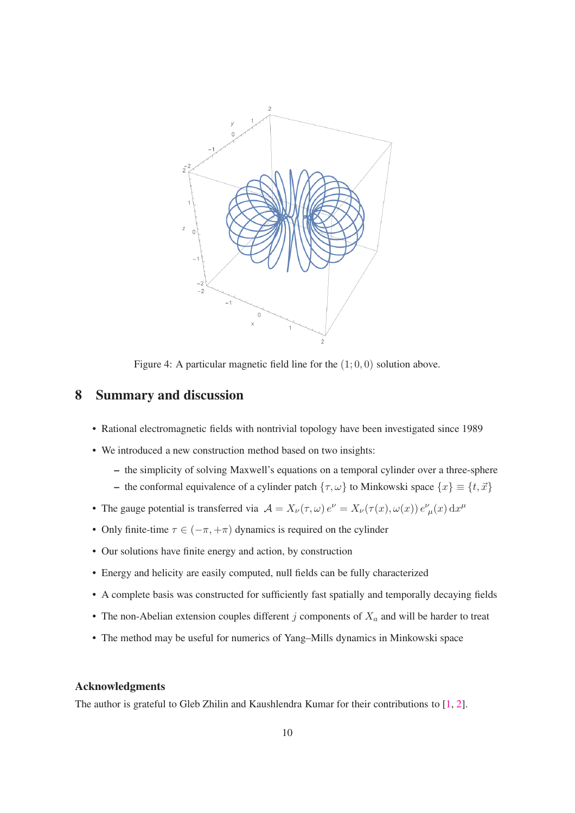

<span id="page-10-0"></span>Figure 4: A particular magnetic field line for the  $(1; 0, 0)$  solution above.

#### 8 Summary and discussion

- Rational electromagnetic fields with nontrivial topology have been investigated since 1989
- We introduced a new construction method based on two insights:
	- the simplicity of solving Maxwell's equations on a temporal cylinder over a three-sphere
	- the conformal equivalence of a cylinder patch  $\{\tau, \omega\}$  to Minkowski space  $\{x\} \equiv \{t, \vec{x}\}\$
- The gauge potential is transferred via  $\mathcal{A} = X_{\nu}(\tau,\omega) e^{\nu} = X_{\nu}(\tau(x), \omega(x)) e^{\nu}_{\mu}(x) dx^{\mu}$
- Only finite-time  $\tau \in (-\pi, +\pi)$  dynamics is required on the cylinder
- Our solutions have finite energy and action, by construction
- Energy and helicity are easily computed, null fields can be fully characterized
- A complete basis was constructed for sufficiently fast spatially and temporally decaying fields
- The non-Abelian extension couples different  $j$  components of  $X_a$  and will be harder to treat
- The method may be useful for numerics of Yang–Mills dynamics in Minkowski space

#### Acknowledgments

The author is grateful to Gleb Zhilin and Kaushlendra Kumar for their contributions to [\[1,](#page-11-0) [2\]](#page-11-1).